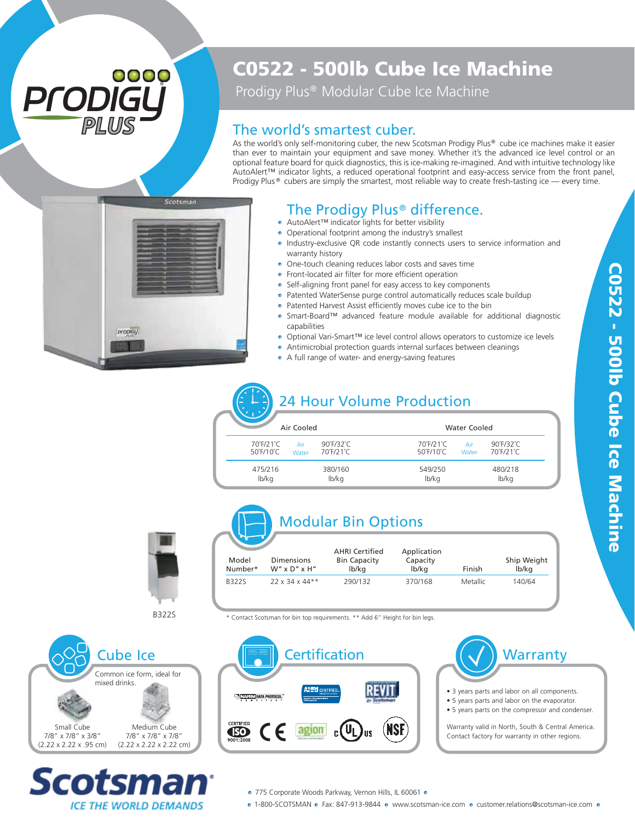## 0000 ® *PLUS*

## C0522 - 500lb Cube Ice Machine

Prodigy Plus<sup>®</sup> Modular Cube Ice Machine

#### The world's smartest cuber.

As the world's only self-monitoring cuber, the new Scotsman Prodigy Plus® cube ice machines make it easier than ever to maintain your equipment and save money. Whether it's the advanced ice level control or an optional feature board for quick diagnostics, this is ice-making re-imagined. And with intuitive technology like AutoAlert™ indicator lights, a reduced operational footprint and easy-access service from the front panel, Prodigy Plus  $\circ$  cubers are simply the smartest, most reliable way to create fresh-tasting ice — every time.



#### The Prodigy Plus<sup>®</sup> difference.

- AutoAlert™ indicator lights for better visibility
- Operational footprint among the industry's smallest
- Industry-exclusive QR code instantly connects users to service information and warranty history
- One-touch cleaning reduces labor costs and saves time
- Front-located air filter for more efficient operation
- Self-aligning front panel for easy access to key components
- Patented WaterSense purge control automatically reduces scale buildup
- Patented Harvest Assist efficiently moves cube ice to the bin
- Smart-Board™ advanced feature module available for additional diagnostic capabilities
- Optional Vari-Smart™ ice level control allows operators to customize ice levels
- Antimicrobial protection guards internal surfaces between cleanings
- A full range of water- and energy-saving features

# 24 Hour Volume Production

| Air Cooled                                  |              |                                         |                                             | <b>Water Cooled</b> |                        |  |  |
|---------------------------------------------|--------------|-----------------------------------------|---------------------------------------------|---------------------|------------------------|--|--|
| 70°F/21°C<br>$50^{\circ}$ F/10 $^{\circ}$ C | Air<br>Water | $90^\circ$ F/32 $^\circ$ C<br>70°F/21°C | 70°F/21°C<br>$50^{\circ}$ F/10 $^{\circ}$ C | Air<br>Water        | 90°F/32°C<br>70°F/21°C |  |  |
| 475/216<br>lb/kg                            |              | 380/160<br>lb/kg                        | 549/250<br>lb/kg                            |                     | 480/218<br>lb/kg       |  |  |



### Modular Bin Options

|                  |                                      | <b>AHRI Certified</b>        | Application       |          |                      |
|------------------|--------------------------------------|------------------------------|-------------------|----------|----------------------|
| Model<br>Number* | <b>Dimensions</b><br>$W''$ x D" x H" | <b>Bin Capacity</b><br>lb/kg | Capacity<br>lb/kg | Finish   | Ship Weight<br>lb/kg |
| <b>B322S</b>     | $22 \times 34 \times 44**$           | 290/132                      | 370/168           | Metallic | 140/64               |

**B3225** 

\* Contact Scotsman for bin top requirements. \*\* Add 6" Height for bin legs.





- 3 years parts and labor on all components.
- 5 years parts and labor on the evaporator.
- 5 years parts on the compressor and condenser.

Warranty valid in North, South & Central America. Contact factory for warranty in other regions.





● 775 Corporate Woods Parkway, Vernon Hills, IL 60061 ●

• 1-800-SCOTSMAN • Fax: 847-913-9844 • www.scotsman-ice.com • customer.relations@scotsman-ice.com •